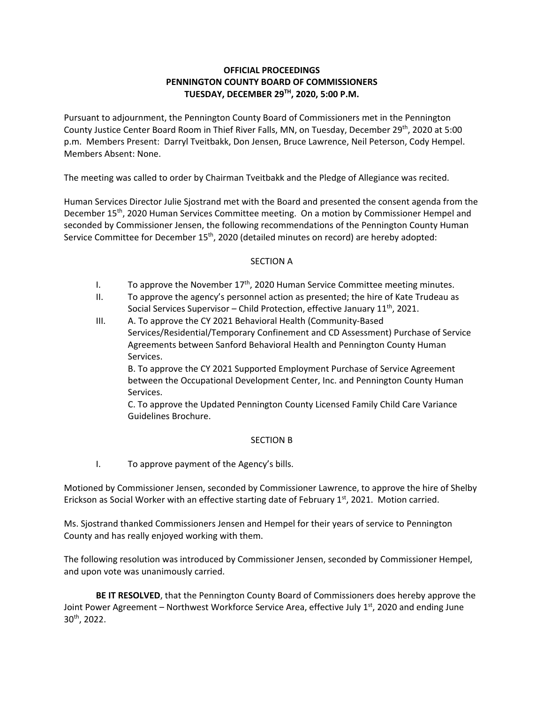## **OFFICIAL PROCEEDINGS PENNINGTON COUNTY BOARD OF COMMISSIONERS TUESDAY, DECEMBER 29TH, 2020, 5:00 P.M.**

Pursuant to adjournment, the Pennington County Board of Commissioners met in the Pennington County Justice Center Board Room in Thief River Falls, MN, on Tuesday, December 29<sup>th</sup>, 2020 at 5:00 p.m. Members Present: Darryl Tveitbakk, Don Jensen, Bruce Lawrence, Neil Peterson, Cody Hempel. Members Absent: None.

The meeting was called to order by Chairman Tveitbakk and the Pledge of Allegiance was recited.

Human Services Director Julie Sjostrand met with the Board and presented the consent agenda from the December 15<sup>th</sup>, 2020 Human Services Committee meeting. On a motion by Commissioner Hempel and seconded by Commissioner Jensen, the following recommendations of the Pennington County Human Service Committee for December 15<sup>th</sup>, 2020 (detailed minutes on record) are hereby adopted:

## SECTION A

- I. To approve the November  $17<sup>th</sup>$ , 2020 Human Service Committee meeting minutes.
- II. To approve the agency's personnel action as presented; the hire of Kate Trudeau as Social Services Supervisor – Child Protection, effective January  $11<sup>th</sup>$ , 2021.
- III. A. To approve the CY 2021 Behavioral Health (Community‐Based Services/Residential/Temporary Confinement and CD Assessment) Purchase of Service Agreements between Sanford Behavioral Health and Pennington County Human Services.

B. To approve the CY 2021 Supported Employment Purchase of Service Agreement between the Occupational Development Center, Inc. and Pennington County Human Services.

C. To approve the Updated Pennington County Licensed Family Child Care Variance Guidelines Brochure.

## SECTION B

I. To approve payment of the Agency's bills.

Motioned by Commissioner Jensen, seconded by Commissioner Lawrence, to approve the hire of Shelby Erickson as Social Worker with an effective starting date of February  $1<sup>st</sup>$ , 2021. Motion carried.

Ms. Sjostrand thanked Commissioners Jensen and Hempel for their years of service to Pennington County and has really enjoyed working with them.

The following resolution was introduced by Commissioner Jensen, seconded by Commissioner Hempel, and upon vote was unanimously carried.

**BE IT RESOLVED**, that the Pennington County Board of Commissioners does hereby approve the Joint Power Agreement – Northwest Workforce Service Area, effective July 1<sup>st</sup>, 2020 and ending June 30th, 2022.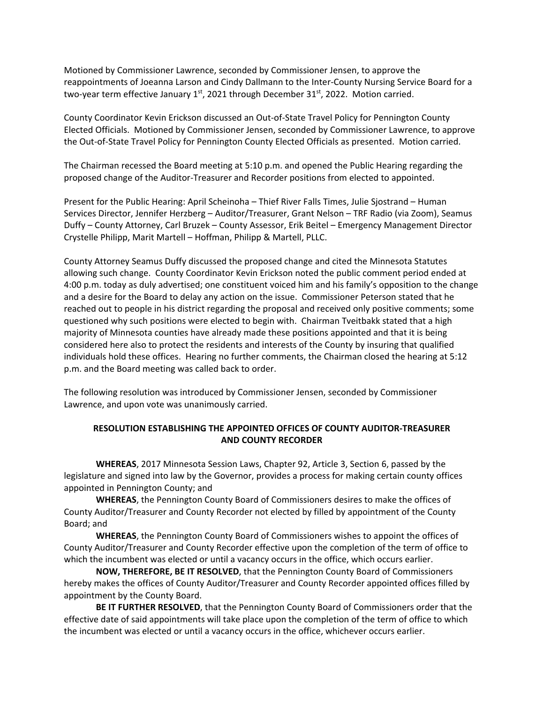Motioned by Commissioner Lawrence, seconded by Commissioner Jensen, to approve the reappointments of Joeanna Larson and Cindy Dallmann to the Inter‐County Nursing Service Board for a two-year term effective January  $1<sup>st</sup>$ , 2021 through December 31 $<sup>st</sup>$ , 2022. Motion carried.</sup>

County Coordinator Kevin Erickson discussed an Out‐of‐State Travel Policy for Pennington County Elected Officials. Motioned by Commissioner Jensen, seconded by Commissioner Lawrence, to approve the Out‐of‐State Travel Policy for Pennington County Elected Officials as presented. Motion carried.

The Chairman recessed the Board meeting at 5:10 p.m. and opened the Public Hearing regarding the proposed change of the Auditor‐Treasurer and Recorder positions from elected to appointed.

Present for the Public Hearing: April Scheinoha – Thief River Falls Times, Julie Sjostrand – Human Services Director, Jennifer Herzberg – Auditor/Treasurer, Grant Nelson – TRF Radio (via Zoom), Seamus Duffy – County Attorney, Carl Bruzek – County Assessor, Erik Beitel – Emergency Management Director Crystelle Philipp, Marit Martell – Hoffman, Philipp & Martell, PLLC.

County Attorney Seamus Duffy discussed the proposed change and cited the Minnesota Statutes allowing such change. County Coordinator Kevin Erickson noted the public comment period ended at 4:00 p.m. today as duly advertised; one constituent voiced him and his family's opposition to the change and a desire for the Board to delay any action on the issue. Commissioner Peterson stated that he reached out to people in his district regarding the proposal and received only positive comments; some questioned why such positions were elected to begin with. Chairman Tveitbakk stated that a high majority of Minnesota counties have already made these positions appointed and that it is being considered here also to protect the residents and interests of the County by insuring that qualified individuals hold these offices. Hearing no further comments, the Chairman closed the hearing at 5:12 p.m. and the Board meeting was called back to order.

The following resolution was introduced by Commissioner Jensen, seconded by Commissioner Lawrence, and upon vote was unanimously carried.

## **RESOLUTION ESTABLISHING THE APPOINTED OFFICES OF COUNTY AUDITOR‐TREASURER AND COUNTY RECORDER**

**WHEREAS**, 2017 Minnesota Session Laws, Chapter 92, Article 3, Section 6, passed by the legislature and signed into law by the Governor, provides a process for making certain county offices appointed in Pennington County; and

**WHEREAS**, the Pennington County Board of Commissioners desires to make the offices of County Auditor/Treasurer and County Recorder not elected by filled by appointment of the County Board; and

**WHEREAS**, the Pennington County Board of Commissioners wishes to appoint the offices of County Auditor/Treasurer and County Recorder effective upon the completion of the term of office to which the incumbent was elected or until a vacancy occurs in the office, which occurs earlier.

**NOW, THEREFORE, BE IT RESOLVED**, that the Pennington County Board of Commissioners hereby makes the offices of County Auditor/Treasurer and County Recorder appointed offices filled by appointment by the County Board.

**BE IT FURTHER RESOLVED**, that the Pennington County Board of Commissioners order that the effective date of said appointments will take place upon the completion of the term of office to which the incumbent was elected or until a vacancy occurs in the office, whichever occurs earlier.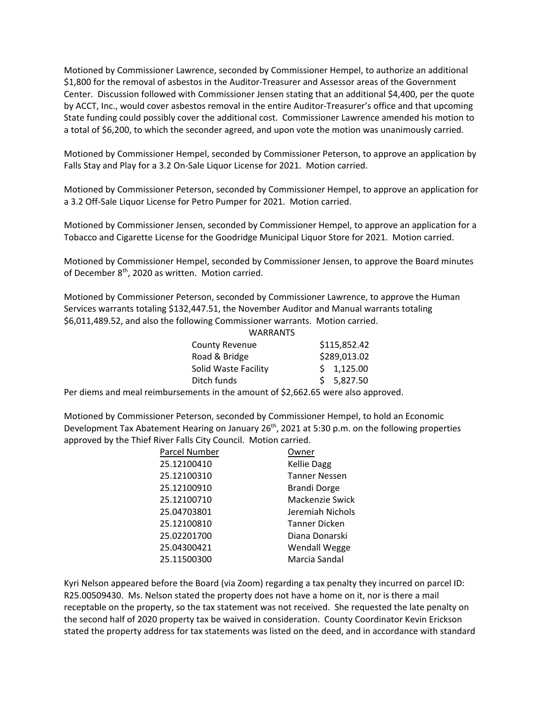Motioned by Commissioner Lawrence, seconded by Commissioner Hempel, to authorize an additional \$1,800 for the removal of asbestos in the Auditor‐Treasurer and Assessor areas of the Government Center. Discussion followed with Commissioner Jensen stating that an additional \$4,400, per the quote by ACCT, Inc., would cover asbestos removal in the entire Auditor‐Treasurer's office and that upcoming State funding could possibly cover the additional cost. Commissioner Lawrence amended his motion to a total of \$6,200, to which the seconder agreed, and upon vote the motion was unanimously carried.

Motioned by Commissioner Hempel, seconded by Commissioner Peterson, to approve an application by Falls Stay and Play for a 3.2 On‐Sale Liquor License for 2021. Motion carried.

Motioned by Commissioner Peterson, seconded by Commissioner Hempel, to approve an application for a 3.2 Off‐Sale Liquor License for Petro Pumper for 2021. Motion carried.

Motioned by Commissioner Jensen, seconded by Commissioner Hempel, to approve an application for a Tobacco and Cigarette License for the Goodridge Municipal Liquor Store for 2021. Motion carried.

Motioned by Commissioner Hempel, seconded by Commissioner Jensen, to approve the Board minutes of December 8<sup>th</sup>, 2020 as written. Motion carried.

Motioned by Commissioner Peterson, seconded by Commissioner Lawrence, to approve the Human Services warrants totaling \$132,447.51, the November Auditor and Manual warrants totaling \$6,011,489.52, and also the following Commissioner warrants. Motion carried.

| <b>WARRANTS</b>       |              |
|-----------------------|--------------|
| <b>County Revenue</b> | \$115,852.42 |
| Road & Bridge         | \$289,013.02 |
| Solid Waste Facility  | \$1,125.00   |
| Ditch funds           | \$5,827.50   |

Per diems and meal reimbursements in the amount of \$2,662.65 were also approved.

Motioned by Commissioner Peterson, seconded by Commissioner Hempel, to hold an Economic Development Tax Abatement Hearing on January 26<sup>th</sup>, 2021 at 5:30 p.m. on the following properties approved by the Thief River Falls City Council. Motion carried.

| Parcel Number | Owner                |
|---------------|----------------------|
| 25.12100410   | <b>Kellie Dagg</b>   |
| 25.12100310   | <b>Tanner Nessen</b> |
| 25.12100910   | <b>Brandi Dorge</b>  |
| 25.12100710   | Mackenzie Swick      |
| 25.04703801   | Jeremiah Nichols     |
| 25.12100810   | Tanner Dicken        |
| 25.02201700   | Diana Donarski       |
| 25.04300421   | Wendall Wegge        |
| 25.11500300   | Marcia Sandal        |
|               |                      |

Kyri Nelson appeared before the Board (via Zoom) regarding a tax penalty they incurred on parcel ID: R25.00509430. Ms. Nelson stated the property does not have a home on it, nor is there a mail receptable on the property, so the tax statement was not received. She requested the late penalty on the second half of 2020 property tax be waived in consideration. County Coordinator Kevin Erickson stated the property address for tax statements was listed on the deed, and in accordance with standard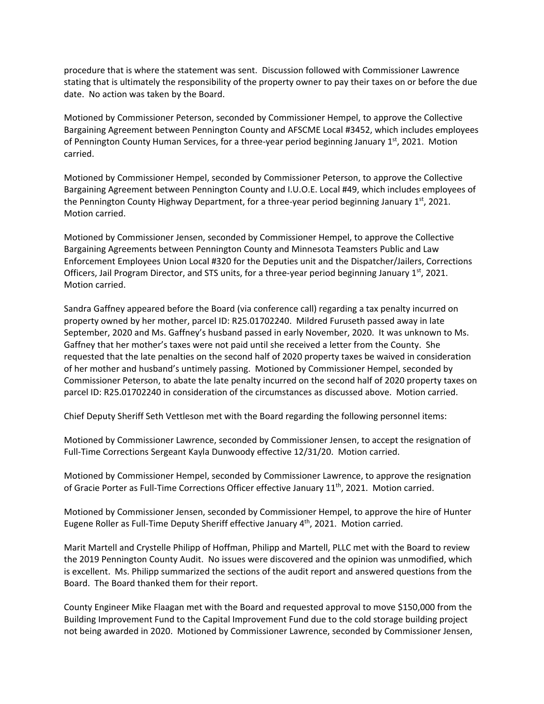procedure that is where the statement was sent. Discussion followed with Commissioner Lawrence stating that is ultimately the responsibility of the property owner to pay their taxes on or before the due date. No action was taken by the Board.

Motioned by Commissioner Peterson, seconded by Commissioner Hempel, to approve the Collective Bargaining Agreement between Pennington County and AFSCME Local #3452, which includes employees of Pennington County Human Services, for a three-year period beginning January  $1^{st}$ , 2021. Motion carried.

Motioned by Commissioner Hempel, seconded by Commissioner Peterson, to approve the Collective Bargaining Agreement between Pennington County and I.U.O.E. Local #49, which includes employees of the Pennington County Highway Department, for a three-year period beginning January  $1<sup>st</sup>$ , 2021. Motion carried.

Motioned by Commissioner Jensen, seconded by Commissioner Hempel, to approve the Collective Bargaining Agreements between Pennington County and Minnesota Teamsters Public and Law Enforcement Employees Union Local #320 for the Deputies unit and the Dispatcher/Jailers, Corrections Officers, Jail Program Director, and STS units, for a three-year period beginning January  $1<sup>st</sup>$ , 2021. Motion carried.

Sandra Gaffney appeared before the Board (via conference call) regarding a tax penalty incurred on property owned by her mother, parcel ID: R25.01702240. Mildred Furuseth passed away in late September, 2020 and Ms. Gaffney's husband passed in early November, 2020. It was unknown to Ms. Gaffney that her mother's taxes were not paid until she received a letter from the County. She requested that the late penalties on the second half of 2020 property taxes be waived in consideration of her mother and husband's untimely passing. Motioned by Commissioner Hempel, seconded by Commissioner Peterson, to abate the late penalty incurred on the second half of 2020 property taxes on parcel ID: R25.01702240 in consideration of the circumstances as discussed above. Motion carried.

Chief Deputy Sheriff Seth Vettleson met with the Board regarding the following personnel items:

Motioned by Commissioner Lawrence, seconded by Commissioner Jensen, to accept the resignation of Full‐Time Corrections Sergeant Kayla Dunwoody effective 12/31/20. Motion carried.

Motioned by Commissioner Hempel, seconded by Commissioner Lawrence, to approve the resignation of Gracie Porter as Full-Time Corrections Officer effective January 11<sup>th</sup>, 2021. Motion carried.

Motioned by Commissioner Jensen, seconded by Commissioner Hempel, to approve the hire of Hunter Eugene Roller as Full-Time Deputy Sheriff effective January  $4<sup>th</sup>$ , 2021. Motion carried.

Marit Martell and Crystelle Philipp of Hoffman, Philipp and Martell, PLLC met with the Board to review the 2019 Pennington County Audit. No issues were discovered and the opinion was unmodified, which is excellent. Ms. Philipp summarized the sections of the audit report and answered questions from the Board. The Board thanked them for their report.

County Engineer Mike Flaagan met with the Board and requested approval to move \$150,000 from the Building Improvement Fund to the Capital Improvement Fund due to the cold storage building project not being awarded in 2020. Motioned by Commissioner Lawrence, seconded by Commissioner Jensen,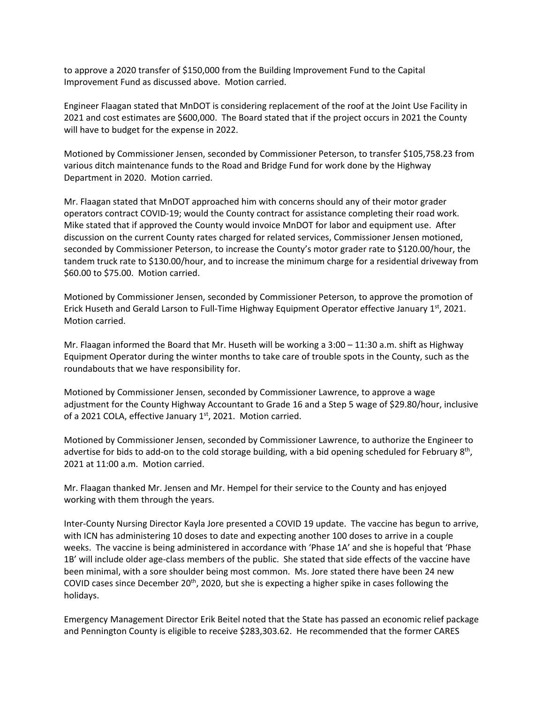to approve a 2020 transfer of \$150,000 from the Building Improvement Fund to the Capital Improvement Fund as discussed above. Motion carried.

Engineer Flaagan stated that MnDOT is considering replacement of the roof at the Joint Use Facility in 2021 and cost estimates are \$600,000. The Board stated that if the project occurs in 2021 the County will have to budget for the expense in 2022.

Motioned by Commissioner Jensen, seconded by Commissioner Peterson, to transfer \$105,758.23 from various ditch maintenance funds to the Road and Bridge Fund for work done by the Highway Department in 2020. Motion carried.

Mr. Flaagan stated that MnDOT approached him with concerns should any of their motor grader operators contract COVID‐19; would the County contract for assistance completing their road work. Mike stated that if approved the County would invoice MnDOT for labor and equipment use. After discussion on the current County rates charged for related services, Commissioner Jensen motioned, seconded by Commissioner Peterson, to increase the County's motor grader rate to \$120.00/hour, the tandem truck rate to \$130.00/hour, and to increase the minimum charge for a residential driveway from \$60.00 to \$75.00. Motion carried.

Motioned by Commissioner Jensen, seconded by Commissioner Peterson, to approve the promotion of Erick Huseth and Gerald Larson to Full-Time Highway Equipment Operator effective January  $1<sup>st</sup>$ , 2021. Motion carried.

Mr. Flaagan informed the Board that Mr. Huseth will be working a 3:00 – 11:30 a.m. shift as Highway Equipment Operator during the winter months to take care of trouble spots in the County, such as the roundabouts that we have responsibility for.

Motioned by Commissioner Jensen, seconded by Commissioner Lawrence, to approve a wage adjustment for the County Highway Accountant to Grade 16 and a Step 5 wage of \$29.80/hour, inclusive of a 2021 COLA, effective January 1<sup>st</sup>, 2021. Motion carried.

Motioned by Commissioner Jensen, seconded by Commissioner Lawrence, to authorize the Engineer to advertise for bids to add-on to the cold storage building, with a bid opening scheduled for February 8<sup>th</sup>, 2021 at 11:00 a.m. Motion carried.

Mr. Flaagan thanked Mr. Jensen and Mr. Hempel for their service to the County and has enjoyed working with them through the years.

Inter‐County Nursing Director Kayla Jore presented a COVID 19 update. The vaccine has begun to arrive, with ICN has administering 10 doses to date and expecting another 100 doses to arrive in a couple weeks. The vaccine is being administered in accordance with 'Phase 1A' and she is hopeful that 'Phase 1B' will include older age‐class members of the public. She stated that side effects of the vaccine have been minimal, with a sore shoulder being most common. Ms. Jore stated there have been 24 new COVID cases since December  $20<sup>th</sup>$ , 2020, but she is expecting a higher spike in cases following the holidays.

Emergency Management Director Erik Beitel noted that the State has passed an economic relief package and Pennington County is eligible to receive \$283,303.62. He recommended that the former CARES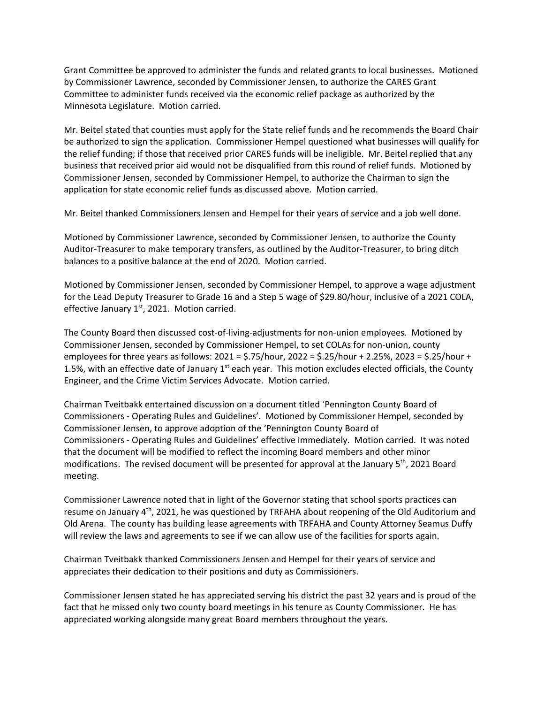Grant Committee be approved to administer the funds and related grants to local businesses. Motioned by Commissioner Lawrence, seconded by Commissioner Jensen, to authorize the CARES Grant Committee to administer funds received via the economic relief package as authorized by the Minnesota Legislature. Motion carried.

Mr. Beitel stated that counties must apply for the State relief funds and he recommends the Board Chair be authorized to sign the application. Commissioner Hempel questioned what businesses will qualify for the relief funding; if those that received prior CARES funds will be ineligible. Mr. Beitel replied that any business that received prior aid would not be disqualified from this round of relief funds. Motioned by Commissioner Jensen, seconded by Commissioner Hempel, to authorize the Chairman to sign the application for state economic relief funds as discussed above. Motion carried.

Mr. Beitel thanked Commissioners Jensen and Hempel for their years of service and a job well done.

Motioned by Commissioner Lawrence, seconded by Commissioner Jensen, to authorize the County Auditor‐Treasurer to make temporary transfers, as outlined by the Auditor‐Treasurer, to bring ditch balances to a positive balance at the end of 2020. Motion carried.

Motioned by Commissioner Jensen, seconded by Commissioner Hempel, to approve a wage adjustment for the Lead Deputy Treasurer to Grade 16 and a Step 5 wage of \$29.80/hour, inclusive of a 2021 COLA, effective January  $1<sup>st</sup>$ , 2021. Motion carried.

The County Board then discussed cost‐of‐living‐adjustments for non‐union employees. Motioned by Commissioner Jensen, seconded by Commissioner Hempel, to set COLAs for non‐union, county employees for three years as follows: 2021 = \$.75/hour, 2022 = \$.25/hour + 2.25%, 2023 = \$.25/hour + 1.5%, with an effective date of January  $1<sup>st</sup>$  each year. This motion excludes elected officials, the County Engineer, and the Crime Victim Services Advocate. Motion carried.

Chairman Tveitbakk entertained discussion on a document titled 'Pennington County Board of Commissioners ‐ Operating Rules and Guidelines'. Motioned by Commissioner Hempel, seconded by Commissioner Jensen, to approve adoption of the 'Pennington County Board of Commissioners ‐ Operating Rules and Guidelines' effective immediately. Motion carried. It was noted that the document will be modified to reflect the incoming Board members and other minor modifications. The revised document will be presented for approval at the January 5<sup>th</sup>, 2021 Board meeting.

Commissioner Lawrence noted that in light of the Governor stating that school sports practices can resume on January 4<sup>th</sup>, 2021, he was questioned by TRFAHA about reopening of the Old Auditorium and Old Arena. The county has building lease agreements with TRFAHA and County Attorney Seamus Duffy will review the laws and agreements to see if we can allow use of the facilities for sports again.

Chairman Tveitbakk thanked Commissioners Jensen and Hempel for their years of service and appreciates their dedication to their positions and duty as Commissioners.

Commissioner Jensen stated he has appreciated serving his district the past 32 years and is proud of the fact that he missed only two county board meetings in his tenure as County Commissioner. He has appreciated working alongside many great Board members throughout the years.